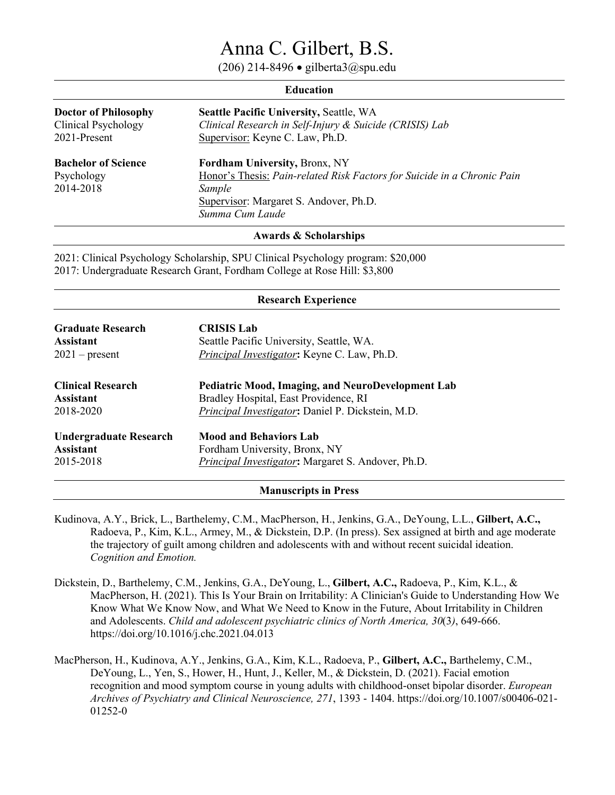# Anna C. Gilbert, B.S.

(206) 214-8496 • gilberta3@spu.edu

| <b>Education</b>                                                   |                                                                                                                                                                                 |  |
|--------------------------------------------------------------------|---------------------------------------------------------------------------------------------------------------------------------------------------------------------------------|--|
| <b>Doctor of Philosophy</b><br>Clinical Psychology<br>2021-Present | <b>Seattle Pacific University, Seattle, WA</b><br>Clinical Research in Self-Injury & Suicide (CRISIS) Lab<br>Supervisor: Keyne C. Law, Ph.D.                                    |  |
| <b>Bachelor of Science</b><br>Psychology<br>2014-2018              | Fordham University, Bronx, NY<br>Honor's Thesis: Pain-related Risk Factors for Suicide in a Chronic Pain<br>Sample<br>Supervisor: Margaret S. Andover, Ph.D.<br>Summa Cum Laude |  |

#### **Awards & Scholarships**

2021: Clinical Psychology Scholarship, SPU Clinical Psychology program: \$20,000 2017: Undergraduate Research Grant, Fordham College at Rose Hill: \$3,800

| <b>Research Experience</b> |                                                    |  |
|----------------------------|----------------------------------------------------|--|
| <b>Graduate Research</b>   | <b>CRISIS Lab</b>                                  |  |
| <b>Assistant</b>           | Seattle Pacific University, Seattle, WA.           |  |
| $2021$ – present           | Principal Investigator: Keyne C. Law, Ph.D.        |  |
| <b>Clinical Research</b>   | Pediatric Mood, Imaging, and NeuroDevelopment Lab  |  |
| <b>Assistant</b>           | Bradley Hospital, East Providence, RI              |  |
| 2018-2020                  | Principal Investigator: Daniel P. Dickstein, M.D.  |  |
| Undergraduate Research     | <b>Mood and Behaviors Lab</b>                      |  |
| <b>Assistant</b>           | Fordham University, Bronx, NY                      |  |
| 2015-2018                  | Principal Investigator: Margaret S. Andover, Ph.D. |  |

**Manuscripts in Press** 

- Kudinova, A.Y., Brick, L., Barthelemy, C.M., MacPherson, H., Jenkins, G.A., DeYoung, L.L., **Gilbert, A.C.,** Radoeva, P., Kim, K.L., Armey, M., & Dickstein, D.P. (In press). Sex assigned at birth and age moderate the trajectory of guilt among children and adolescents with and without recent suicidal ideation. *Cognition and Emotion.*
- Dickstein, D., Barthelemy, C.M., Jenkins, G.A., DeYoung, L., **Gilbert, A.C.,** Radoeva, P., Kim, K.L., & MacPherson, H. (2021). This Is Your Brain on Irritability: A Clinician's Guide to Understanding How We Know What We Know Now, and What We Need to Know in the Future, About Irritability in Children and Adolescents. *Child and adolescent psychiatric clinics of North America, 30*(3*)*, 649-666. https://doi.org/10.1016/j.chc.2021.04.013
- MacPherson, H., Kudinova, A.Y., Jenkins, G.A., Kim, K.L., Radoeva, P., **Gilbert, A.C.,** Barthelemy, C.M., DeYoung, L., Yen, S., Hower, H., Hunt, J., Keller, M., & Dickstein, D. (2021). Facial emotion recognition and mood symptom course in young adults with childhood-onset bipolar disorder. *European Archives of Psychiatry and Clinical Neuroscience, 271*, 1393 - 1404. https://doi.org/10.1007/s00406-021- 01252-0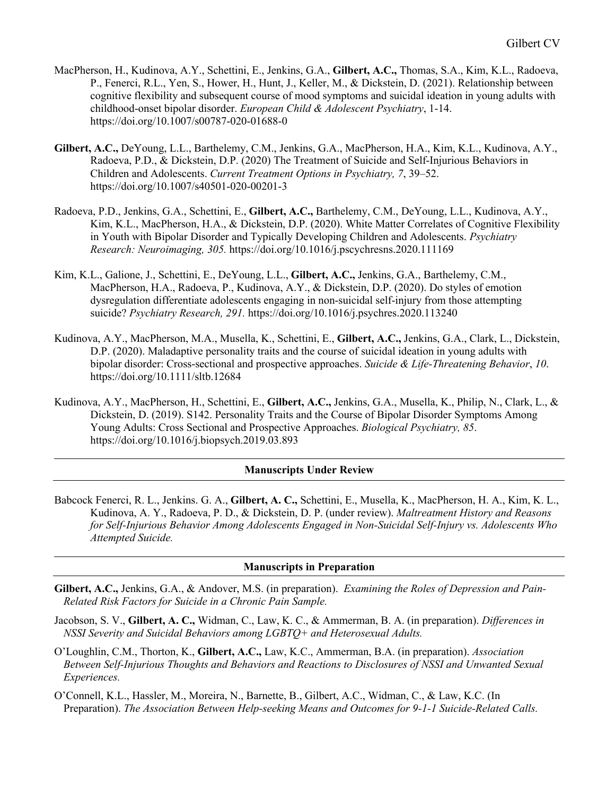- MacPherson, H., Kudinova, A.Y., Schettini, E., Jenkins, G.A., **Gilbert, A.C.,** Thomas, S.A., Kim, K.L., Radoeva, P., Fenerci, R.L., Yen, S., Hower, H., Hunt, J., Keller, M., & Dickstein, D. (2021). Relationship between cognitive flexibility and subsequent course of mood symptoms and suicidal ideation in young adults with childhood-onset bipolar disorder. *European Child & Adolescent Psychiatry*, 1-14. https://doi.org/10.1007/s00787-020-01688-0
- **Gilbert, A.C.,** DeYoung, L.L., Barthelemy, C.M., Jenkins, G.A., MacPherson, H.A., Kim, K.L., Kudinova, A.Y., Radoeva, P.D., & Dickstein, D.P. (2020) The Treatment of Suicide and Self-Injurious Behaviors in Children and Adolescents. *Current Treatment Options in Psychiatry, 7*, 39–52. https://doi.org/10.1007/s40501-020-00201-3
- Radoeva, P.D., Jenkins, G.A., Schettini, E., **Gilbert, A.C.,** Barthelemy, C.M., DeYoung, L.L., Kudinova, A.Y., Kim, K.L., MacPherson, H.A., & Dickstein, D.P. (2020). White Matter Correlates of Cognitive Flexibility in Youth with Bipolar Disorder and Typically Developing Children and Adolescents. *Psychiatry Research: Neuroimaging, 305.* https://doi.org/10.1016/j.pscychresns.2020.111169
- Kim, K.L., Galione, J., Schettini, E., DeYoung, L.L., **Gilbert, A.C.,** Jenkins, G.A., Barthelemy, C.M., MacPherson, H.A., Radoeva, P., Kudinova, A.Y., & Dickstein, D.P. (2020). Do styles of emotion dysregulation differentiate adolescents engaging in non-suicidal self-injury from those attempting suicide? *Psychiatry Research, 291.* https://doi.org/10.1016/j.psychres.2020.113240
- Kudinova, A.Y., MacPherson, M.A., Musella, K., Schettini, E., **Gilbert, A.C.,** Jenkins, G.A., Clark, L., Dickstein, D.P. (2020). Maladaptive personality traits and the course of suicidal ideation in young adults with bipolar disorder: Cross-sectional and prospective approaches. *Suicide & Life-Threatening Behavior*, *10*. https://doi.org/10.1111/sltb.12684
- Kudinova, A.Y., MacPherson, H., Schettini, E., **Gilbert, A.C.,** Jenkins, G.A., Musella, K., Philip, N., Clark, L., & Dickstein, D. (2019). S142. Personality Traits and the Course of Bipolar Disorder Symptoms Among Young Adults: Cross Sectional and Prospective Approaches. *Biological Psychiatry, 85*. https://doi.org/10.1016/j.biopsych.2019.03.893

## **Manuscripts Under Review**

Babcock Fenerci, R. L., Jenkins. G. A., **Gilbert, A. C.,** Schettini, E., Musella, K., MacPherson, H. A., Kim, K. L., Kudinova, A. Y., Radoeva, P. D., & Dickstein, D. P. (under review). *Maltreatment History and Reasons for Self-Injurious Behavior Among Adolescents Engaged in Non-Suicidal Self-Injury vs. Adolescents Who Attempted Suicide.* 

### **Manuscripts in Preparation**

- **Gilbert, A.C.,** Jenkins, G.A., & Andover, M.S. (in preparation). *Examining the Roles of Depression and Pain-Related Risk Factors for Suicide in a Chronic Pain Sample.*
- Jacobson, S. V., **Gilbert, A. C.,** Widman, C., Law, K. C., & Ammerman, B. A. (in preparation). *Differences in NSSI Severity and Suicidal Behaviors among LGBTQ+ and Heterosexual Adults.*
- O'Loughlin, C.M., Thorton, K., **Gilbert, A.C.,** Law, K.C., Ammerman, B.A. (in preparation). *Association Between Self-Injurious Thoughts and Behaviors and Reactions to Disclosures of NSSI and Unwanted Sexual Experiences.*
- O'Connell, K.L., Hassler, M., Moreira, N., Barnette, B., Gilbert, A.C., Widman, C., & Law, K.C. (In Preparation). *The Association Between Help-seeking Means and Outcomes for 9-1-1 Suicide-Related Calls.*